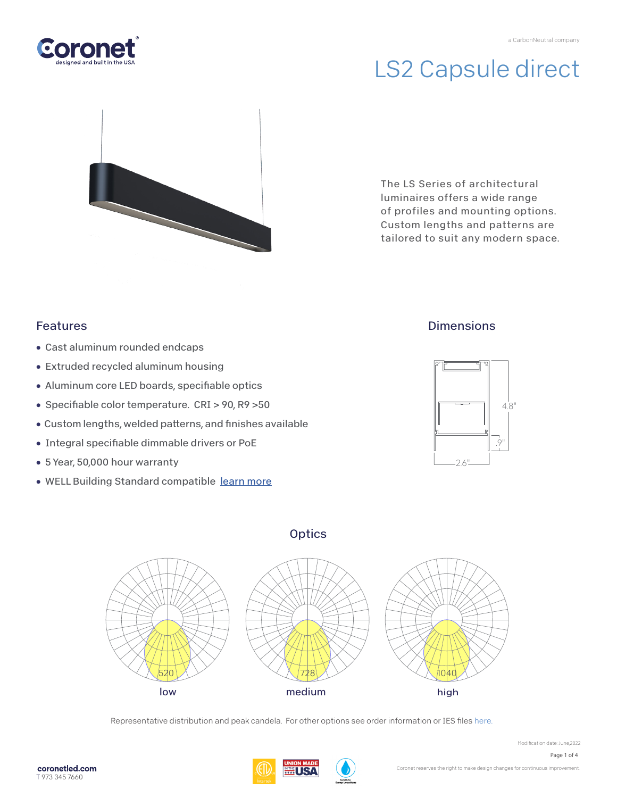

# LS2 Capsule direct



The LS Series of architectural luminaires offers a wide range of profiles and mounting options. Custom lengths and patterns are tailored to suit any modern space.

### Features

- Cast aluminum rounded endcaps
- Extruded recycled aluminum housing
- Aluminum core LED boards, specifiable optics
- Specifiable color temperature. CRI > 90, R9 > 50
- Custom lengths, welded patterns, and finishes available
- Integral specifiable dimmable drivers or PoE
- 5 Year, 50,000 hour warranty
- WELL Building Standard compatibl[e learn more](https://coronetled.com/well-v2-standard/)

### **Dimensions**







Representative distribution and peak candela. For other options see order information or IES file[s here.](https://coronetled.com/downloads/)





Modification date: June,2022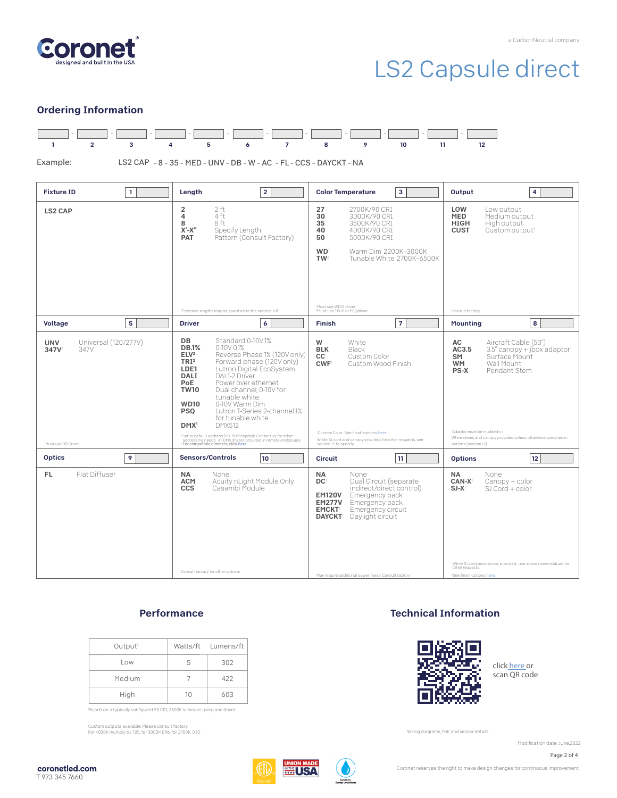

## LS2 Capsule direct

#### Ordering Information



Example:

LS2 CAP - 8 - 35 - MED - UNV - DB - W - AC - FL - CCS - DAYCKT - NA

| <b>Fixture ID</b>                                                                     | Length                                                                                                                                                                                                                                                                                                                                                                                                                                                                                                                                                                                                                                                       | 3                                                                                                                                                                                                                                                                                               | Output                                                                                                                                                                                                                                                                                     |
|---------------------------------------------------------------------------------------|--------------------------------------------------------------------------------------------------------------------------------------------------------------------------------------------------------------------------------------------------------------------------------------------------------------------------------------------------------------------------------------------------------------------------------------------------------------------------------------------------------------------------------------------------------------------------------------------------------------------------------------------------------------|-------------------------------------------------------------------------------------------------------------------------------------------------------------------------------------------------------------------------------------------------------------------------------------------------|--------------------------------------------------------------------------------------------------------------------------------------------------------------------------------------------------------------------------------------------------------------------------------------------|
| $\mathbf{1}$                                                                          | $\overline{2}$                                                                                                                                                                                                                                                                                                                                                                                                                                                                                                                                                                                                                                               | <b>Color Temperature</b>                                                                                                                                                                                                                                                                        | 4                                                                                                                                                                                                                                                                                          |
| <b>LS2 CAP</b>                                                                        | 2 ft<br>$\overline{\mathbf{c}}$<br>$\overline{\mathbf{4}}$<br>4 ft<br>8<br>8 ft<br>$X'$ - $X''$<br>Specify Length<br>Pattern (Consult Factory)<br><b>PAT</b><br>'Precision lengths may be specified to the nearest 1/8".                                                                                                                                                                                                                                                                                                                                                                                                                                     | 27<br>2700K/90 CRI<br>30<br>3000K/90 CRI<br>35<br>3500K/90 CRI<br>40<br>4000K/90 CRI<br>50<br>5000K/90 CRI<br><b>WD</b><br>Warm Dim 2200K-3000K<br>TW <sub>2</sub><br>Tunable White 2700K-6500K<br><sup>1</sup> Must use WD10 driver.<br><sup>2</sup> Must use TW10 or PSQdriver.               | LOW<br>Low output<br><b>MED</b><br>Medium output<br><b>HIGH</b><br>High output<br><b>CUST</b><br>Custom output <sup>1</sup><br>'consult factory                                                                                                                                            |
| 5                                                                                     | <b>Driver</b>                                                                                                                                                                                                                                                                                                                                                                                                                                                                                                                                                                                                                                                | $\overline{7}$                                                                                                                                                                                                                                                                                  | 8                                                                                                                                                                                                                                                                                          |
| <b>Voltage</b>                                                                        | 6                                                                                                                                                                                                                                                                                                                                                                                                                                                                                                                                                                                                                                                            | <b>Finish</b>                                                                                                                                                                                                                                                                                   | <b>Mounting</b>                                                                                                                                                                                                                                                                            |
| Universal (120/277V)<br><b>UNV</b><br>347V<br>347V<br><sup>1</sup> Must use DB Driver | <b>DB</b><br>Standard 0-10V1%<br><b>DB.1%</b><br>0-10V 0.1%<br>ELV <sup>2</sup><br>Reverse Phase 1% (120V only)<br>TRI <sup>2</sup><br>Forward phase (120V only)<br>Lutron Digital EcoSystem<br>LDE1<br>DAI I-2 Driver<br>DALI<br>PoE<br>Power over ethernet.<br><b>TW10</b><br>Dual channel, 0-10V for<br>tunable white.<br>0-10V Warm Dim<br><b>WD10</b><br>Lutron T-Series 2-channel 1%<br><b>PSO</b><br>for tunable white<br><b>DMX512</b><br>DMX <sup>1</sup><br>'Set to default address 001. RDM capable. Contact us for other<br>addressing needs. All DMX drivers provided in remote enclosuers.<br><sup>2</sup> For compatible dimmers, click here. | White<br>W<br><b>BLK</b><br>Black<br>Custom Color<br>CC <sup>1</sup><br><b>CWF</b><br>Custom Wood Finish<br>'Custom Color. See finish options here.<br>White SJ cord and canopy provided; for other requests, see<br>section 12 to specify.                                                     | Aircraft Cable (50")<br>AC<br>AC3.5<br>$3.5''$ canopy + jbox adaptor <sup>1</sup><br>Surface Mount<br>SM<br>Wall Mount<br><b>WM</b><br><b>PS-X</b><br>Pendant Stem<br>'Adaptor must be mudded-in<br>White stems and canopy provided unless otherwise specified in<br>options (section 12). |
| 9                                                                                     | <b>Sensors/Controls</b>                                                                                                                                                                                                                                                                                                                                                                                                                                                                                                                                                                                                                                      | 11                                                                                                                                                                                                                                                                                              | 12                                                                                                                                                                                                                                                                                         |
| <b>Optics</b>                                                                         | 10                                                                                                                                                                                                                                                                                                                                                                                                                                                                                                                                                                                                                                                           | <b>Circuit</b>                                                                                                                                                                                                                                                                                  | <b>Options</b>                                                                                                                                                                                                                                                                             |
| FL.<br>Flat Diffuser                                                                  | <b>NA</b><br>None<br><b>ACM</b><br>Acuity nLight Module Only<br>Casambi Module<br><b>CCS</b><br>Consult factory for other options.                                                                                                                                                                                                                                                                                                                                                                                                                                                                                                                           | <b>NA</b><br>None<br>DC <sup>1</sup><br>Dual Circuit (separate<br>indirect/direct control)<br>Emergency pack<br><b>EM120V</b><br><b>EM277V</b><br>Emergency pack<br><b>EMCKT</b><br>Emergency circuit<br><b>DAYCKT</b> Daylight circuit<br>'May require additional power feeds. Consult factory | None<br><b>NA</b><br>CAN-X <sup>1</sup><br>Canopy + color<br>$SJ-X^2$<br>SJ Cord + color<br>'White SJ cord and canopy provided; use above nomenclature for<br>other requests.<br><sup>2</sup> See finish options here.                                                                     |

#### **Performance**

| Output <sup>1</sup> |    | Watts/ft Lumens/ft |
|---------------------|----|--------------------|
| Low                 | 5  | 302                |
| Medium              |    | 422                |
| High                | 10 | 603                |

'Based on a typically configured 90 CRI, 3500K luminaire using one driver.

Custom outputs available. Please consult factory. For 4000K multiply by 1.05; for 3000K 0.96; for 2700K, 0.92.

#### Technical Information



click [here or](https://coronetled.com/warranty-technical-info/) scan QR code

Wiring diagrams, PoE and sensor details

Modification date: June, 2022



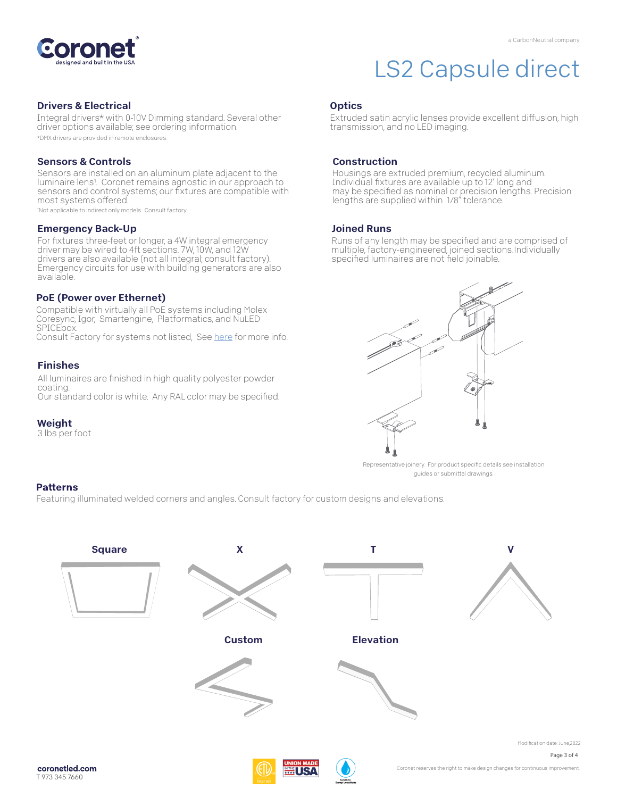

#### Drivers & Electrical

Integral drivers\* with 0-10V Dimming standard. Several other driver options available; see ordering information. \*DMX drivers are provided in remote enclosures.

#### Sensors & Controls

Sensors are installed on an aluminum plate adjacent to the luminaire lens1. Coronet remains agnostic in our approach to sensors and control systems; our fixtures are compatible with most systems offered.

1Not applicable to indirect only models. Consult factory.

#### Emergency Back-Up

For fixtures three-feet or longer, a 4W integral emergency driver may be wired to 4ft sections. 7W, 10W, and 12W drivers are also available (not all integral; consult factory). Emergency circuits for use with building generators are also available.

#### PoE (Power over Ethernet)

Compatible with virtually all PoE systems including Molex Coresync, Igor, Smartengine, Platformatics, and NuLED SPICEbox. Consult Factory for systems not listed, See [here f](https://coronetled.com/warranty-technical-info/)or more info.

#### Finishes

All luminaires are finished in high quality polyester powder coating. Our standard color is white. Any RAL color may be specified.

#### Weight

3 lbs per foot

## LS2 Capsule direct

#### **Optics**

Extruded satin acrylic lenses provide excellent diffusion, high transmission, and no LED imaging.

#### Construction

Housings are extruded premium, recycled aluminum. Individual fixtures are available up to 12' long and may be specified as nominal or precision lengths. Precision lengths are supplied within 1/8" tolerance.

#### Joined Runs

Runs of any length may be specified and are comprised of multiple, factory-engineered, joined sections. Individually specified luminaires are not field joinable.



Representative joinery. For product specific details see installation guides or submittal drawings.

#### **Patterns**

Featuring illuminated welded corners and angles. Consult factory for custom designs and elevations.